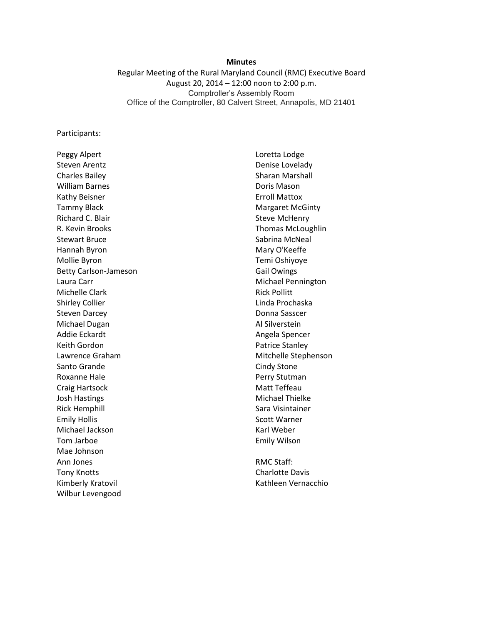#### **Minutes**

Regular Meeting of the Rural Maryland Council (RMC) Executive Board August 20, 2014 – 12:00 noon to 2:00 p.m. Comptroller's Assembly Room Office of the Comptroller, 80 Calvert Street, Annapolis, MD 21401

Participants:

Peggy Alpert Steven Arentz Charles Bailey William Barnes Kathy Beisner Tammy Black Richard C. Blair R. Kevin Brooks Stewart Bruce Hannah Byron Mollie Byron Betty Carlson-Jameson Laura Carr Michelle Clark Shirley Collier Steven Darcey Michael Dugan Addie Eckardt Keith Gordon Lawrence Graham Santo Grande Roxanne Hale Craig Hartsock Josh Hastings Rick Hemphill Emily Hollis Michael Jackson Tom Jarboe Mae Johnson Ann Jones Tony Knotts Kimberly Kratovil Wilbur Levengood

Loretta Lodge Denise Lovelady Sharan Marshall Doris Mason Erroll Mattox Margaret McGinty Steve McHenry Thomas McLoughlin Sabrina McNeal Mary O'Keeffe Temi Oshiyoye Gail Owings Michael Pennington Rick Pollitt Linda Prochaska Donna Sasscer Al Silverstein Angela Spencer Patrice Stanley Mitchelle Stephenson Cindy Stone Perry Stutman Matt Teffeau Michael Thielke Sara Visintainer Scott Warner Karl Weber Emily Wilson

RMC Staff: Charlotte Davis Kathleen Vernacchio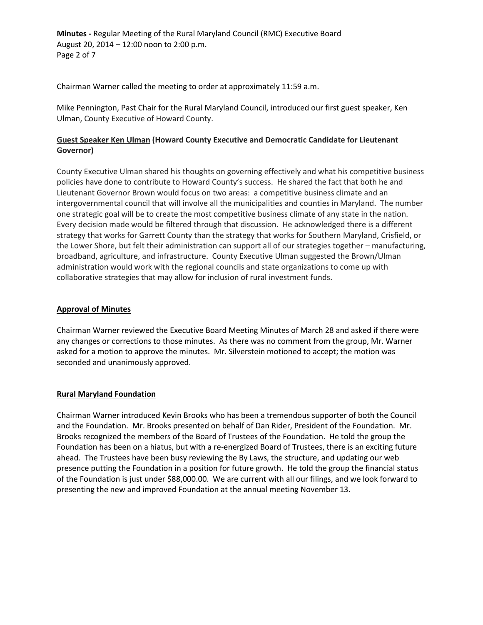**Minutes -** Regular Meeting of the Rural Maryland Council (RMC) Executive Board August 20, 2014 – 12:00 noon to 2:00 p.m. Page 2 of 7

Chairman Warner called the meeting to order at approximately 11:59 a.m.

Mike Pennington, Past Chair for the Rural Maryland Council, introduced our first guest speaker, Ken Ulman, County Executive of Howard County.

# **Guest Speaker Ken Ulman (Howard County Executive and Democratic Candidate for Lieutenant Governor)**

County Executive Ulman shared his thoughts on governing effectively and what his competitive business policies have done to contribute to Howard County's success. He shared the fact that both he and Lieutenant Governor Brown would focus on two areas: a competitive business climate and an intergovernmental council that will involve all the municipalities and counties in Maryland. The number one strategic goal will be to create the most competitive business climate of any state in the nation. Every decision made would be filtered through that discussion. He acknowledged there is a different strategy that works for Garrett County than the strategy that works for Southern Maryland, Crisfield, or the Lower Shore, but felt their administration can support all of our strategies together – manufacturing, broadband, agriculture, and infrastructure. County Executive Ulman suggested the Brown/Ulman administration would work with the regional councils and state organizations to come up with collaborative strategies that may allow for inclusion of rural investment funds.

## **Approval of Minutes**

Chairman Warner reviewed the Executive Board Meeting Minutes of March 28 and asked if there were any changes or corrections to those minutes. As there was no comment from the group, Mr. Warner asked for a motion to approve the minutes. Mr. Silverstein motioned to accept; the motion was seconded and unanimously approved.

# **Rural Maryland Foundation**

Chairman Warner introduced Kevin Brooks who has been a tremendous supporter of both the Council and the Foundation. Mr. Brooks presented on behalf of Dan Rider, President of the Foundation. Mr. Brooks recognized the members of the Board of Trustees of the Foundation. He told the group the Foundation has been on a hiatus, but with a re-energized Board of Trustees, there is an exciting future ahead. The Trustees have been busy reviewing the By Laws, the structure, and updating our web presence putting the Foundation in a position for future growth. He told the group the financial status of the Foundation is just under \$88,000.00. We are current with all our filings, and we look forward to presenting the new and improved Foundation at the annual meeting November 13.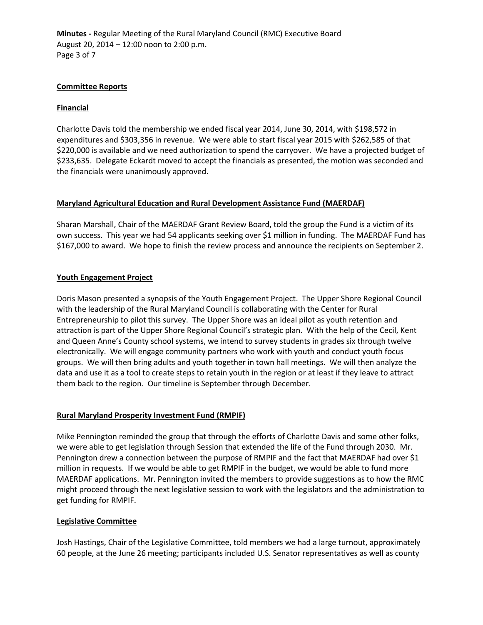**Minutes -** Regular Meeting of the Rural Maryland Council (RMC) Executive Board August 20, 2014 – 12:00 noon to 2:00 p.m. Page 3 of 7

## **Committee Reports**

## **Financial**

Charlotte Davis told the membership we ended fiscal year 2014, June 30, 2014, with \$198,572 in expenditures and \$303,356 in revenue. We were able to start fiscal year 2015 with \$262,585 of that \$220,000 is available and we need authorization to spend the carryover. We have a projected budget of \$233,635. Delegate Eckardt moved to accept the financials as presented, the motion was seconded and the financials were unanimously approved.

## **Maryland Agricultural Education and Rural Development Assistance Fund (MAERDAF)**

Sharan Marshall, Chair of the MAERDAF Grant Review Board, told the group the Fund is a victim of its own success. This year we had 54 applicants seeking over \$1 million in funding. The MAERDAF Fund has \$167,000 to award. We hope to finish the review process and announce the recipients on September 2.

## **Youth Engagement Project**

Doris Mason presented a synopsis of the Youth Engagement Project. The Upper Shore Regional Council with the leadership of the Rural Maryland Council is collaborating with the Center for Rural Entrepreneurship to pilot this survey. The Upper Shore was an ideal pilot as youth retention and attraction is part of the Upper Shore Regional Council's strategic plan. With the help of the Cecil, Kent and Queen Anne's County school systems, we intend to survey students in grades six through twelve electronically. We will engage community partners who work with youth and conduct youth focus groups. We will then bring adults and youth together in town hall meetings. We will then analyze the data and use it as a tool to create steps to retain youth in the region or at least if they leave to attract them back to the region. Our timeline is September through December.

## **Rural Maryland Prosperity Investment Fund (RMPIF)**

Mike Pennington reminded the group that through the efforts of Charlotte Davis and some other folks, we were able to get legislation through Session that extended the life of the Fund through 2030. Mr. Pennington drew a connection between the purpose of RMPIF and the fact that MAERDAF had over \$1 million in requests. If we would be able to get RMPIF in the budget, we would be able to fund more MAERDAF applications. Mr. Pennington invited the members to provide suggestions as to how the RMC might proceed through the next legislative session to work with the legislators and the administration to get funding for RMPIF.

## **Legislative Committee**

Josh Hastings, Chair of the Legislative Committee, told members we had a large turnout, approximately 60 people, at the June 26 meeting; participants included U.S. Senator representatives as well as county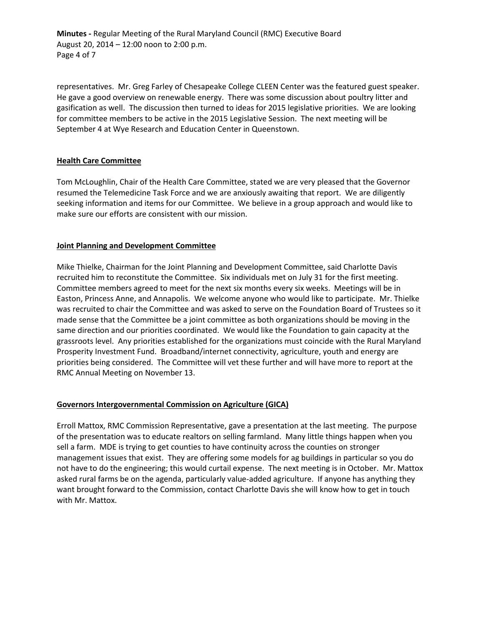**Minutes -** Regular Meeting of the Rural Maryland Council (RMC) Executive Board August 20, 2014 – 12:00 noon to 2:00 p.m. Page 4 of 7

representatives. Mr. Greg Farley of Chesapeake College CLEEN Center was the featured guest speaker. He gave a good overview on renewable energy. There was some discussion about poultry litter and gasification as well. The discussion then turned to ideas for 2015 legislative priorities. We are looking for committee members to be active in the 2015 Legislative Session. The next meeting will be September 4 at Wye Research and Education Center in Queenstown.

## **Health Care Committee**

Tom McLoughlin, Chair of the Health Care Committee, stated we are very pleased that the Governor resumed the Telemedicine Task Force and we are anxiously awaiting that report. We are diligently seeking information and items for our Committee. We believe in a group approach and would like to make sure our efforts are consistent with our mission.

## **Joint Planning and Development Committee**

Mike Thielke, Chairman for the Joint Planning and Development Committee, said Charlotte Davis recruited him to reconstitute the Committee. Six individuals met on July 31 for the first meeting. Committee members agreed to meet for the next six months every six weeks. Meetings will be in Easton, Princess Anne, and Annapolis. We welcome anyone who would like to participate. Mr. Thielke was recruited to chair the Committee and was asked to serve on the Foundation Board of Trustees so it made sense that the Committee be a joint committee as both organizations should be moving in the same direction and our priorities coordinated. We would like the Foundation to gain capacity at the grassroots level. Any priorities established for the organizations must coincide with the Rural Maryland Prosperity Investment Fund. Broadband/internet connectivity, agriculture, youth and energy are priorities being considered. The Committee will vet these further and will have more to report at the RMC Annual Meeting on November 13.

## **Governors Intergovernmental Commission on Agriculture (GICA)**

Erroll Mattox, RMC Commission Representative, gave a presentation at the last meeting. The purpose of the presentation was to educate realtors on selling farmland. Many little things happen when you sell a farm. MDE is trying to get counties to have continuity across the counties on stronger management issues that exist. They are offering some models for ag buildings in particular so you do not have to do the engineering; this would curtail expense. The next meeting is in October. Mr. Mattox asked rural farms be on the agenda, particularly value-added agriculture. If anyone has anything they want brought forward to the Commission, contact Charlotte Davis she will know how to get in touch with Mr. Mattox.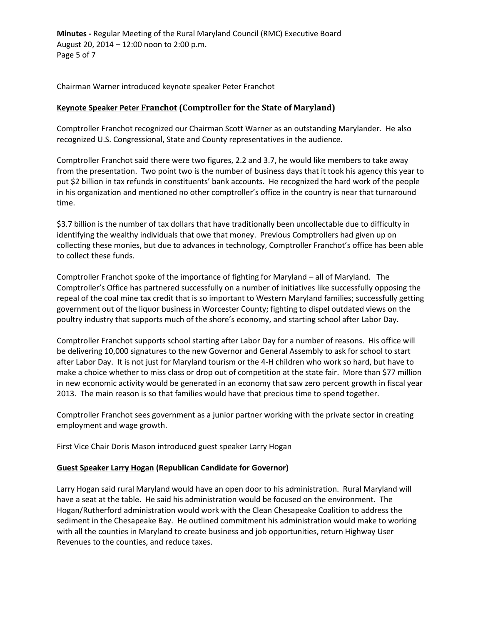**Minutes -** Regular Meeting of the Rural Maryland Council (RMC) Executive Board August 20, 2014 – 12:00 noon to 2:00 p.m. Page 5 of 7

Chairman Warner introduced keynote speaker Peter Franchot

# **Keynote Speaker Peter Franchot (Comptroller for the State of Maryland)**

Comptroller Franchot recognized our Chairman Scott Warner as an outstanding Marylander. He also recognized U.S. Congressional, State and County representatives in the audience.

Comptroller Franchot said there were two figures, 2.2 and 3.7, he would like members to take away from the presentation. Two point two is the number of business days that it took his agency this year to put \$2 billion in tax refunds in constituents' bank accounts. He recognized the hard work of the people in his organization and mentioned no other comptroller's office in the country is near that turnaround time.

\$3.7 billion is the number of tax dollars that have traditionally been uncollectable due to difficulty in identifying the wealthy individuals that owe that money. Previous Comptrollers had given up on collecting these monies, but due to advances in technology, Comptroller Franchot's office has been able to collect these funds.

Comptroller Franchot spoke of the importance of fighting for Maryland – all of Maryland. The Comptroller's Office has partnered successfully on a number of initiatives like successfully opposing the repeal of the coal mine tax credit that is so important to Western Maryland families; successfully getting government out of the liquor business in Worcester County; fighting to dispel outdated views on the poultry industry that supports much of the shore's economy, and starting school after Labor Day.

Comptroller Franchot supports school starting after Labor Day for a number of reasons. His office will be delivering 10,000 signatures to the new Governor and General Assembly to ask for school to start after Labor Day. It is not just for Maryland tourism or the 4-H children who work so hard, but have to make a choice whether to miss class or drop out of competition at the state fair. More than \$77 million in new economic activity would be generated in an economy that saw zero percent growth in fiscal year 2013. The main reason is so that families would have that precious time to spend together.

Comptroller Franchot sees government as a junior partner working with the private sector in creating employment and wage growth.

First Vice Chair Doris Mason introduced guest speaker Larry Hogan

## **Guest Speaker Larry Hogan (Republican Candidate for Governor)**

Larry Hogan said rural Maryland would have an open door to his administration. Rural Maryland will have a seat at the table. He said his administration would be focused on the environment. The Hogan/Rutherford administration would work with the Clean Chesapeake Coalition to address the sediment in the Chesapeake Bay. He outlined commitment his administration would make to working with all the counties in Maryland to create business and job opportunities, return Highway User Revenues to the counties, and reduce taxes.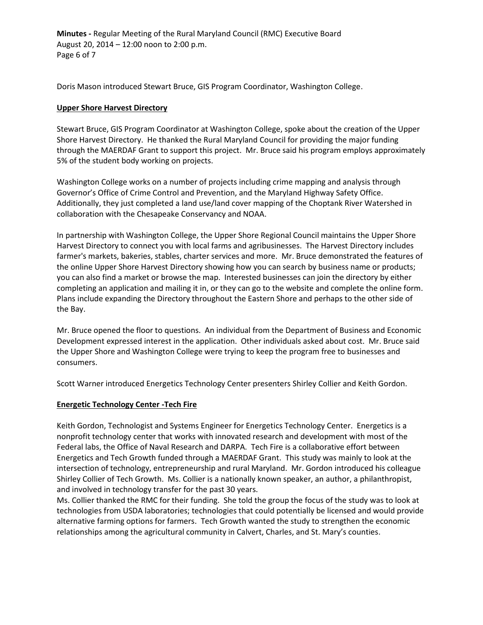**Minutes -** Regular Meeting of the Rural Maryland Council (RMC) Executive Board August 20, 2014 – 12:00 noon to 2:00 p.m. Page 6 of 7

Doris Mason introduced Stewart Bruce, GIS Program Coordinator, Washington College.

## **Upper Shore Harvest Directory**

Stewart Bruce, GIS Program Coordinator at Washington College, spoke about the creation of the Upper Shore Harvest Directory. He thanked the Rural Maryland Council for providing the major funding through the MAERDAF Grant to support this project. Mr. Bruce said his program employs approximately 5% of the student body working on projects.

Washington College works on a number of projects including crime mapping and analysis through Governor's Office of Crime Control and Prevention, and the Maryland Highway Safety Office. Additionally, they just completed a land use/land cover mapping of the Choptank River Watershed in collaboration with the Chesapeake Conservancy and NOAA.

In partnership with Washington College, the Upper Shore Regional Council maintains the Upper Shore Harvest Directory to connect you with local farms and agribusinesses. The Harvest Directory includes farmer's markets, bakeries, stables, charter services and more. Mr. Bruce demonstrated the features of the online Upper Shore Harvest Directory showing how you can search by business name or products; you can also find a market or browse the map. Interested businesses can join the directory by either completing an application and mailing it in, or they can go to the website and complete the online form. Plans include expanding the Directory throughout the Eastern Shore and perhaps to the other side of the Bay.

Mr. Bruce opened the floor to questions. An individual from the Department of Business and Economic Development expressed interest in the application. Other individuals asked about cost. Mr. Bruce said the Upper Shore and Washington College were trying to keep the program free to businesses and consumers.

Scott Warner introduced Energetics Technology Center presenters Shirley Collier and Keith Gordon.

## **Energetic Technology Center -Tech Fire**

Keith Gordon, Technologist and Systems Engineer for Energetics Technology Center. Energetics is a nonprofit technology center that works with innovated research and development with most of the Federal labs, the Office of Naval Research and DARPA. Tech Fire is a collaborative effort between Energetics and Tech Growth funded through a MAERDAF Grant. This study was mainly to look at the intersection of technology, entrepreneurship and rural Maryland. Mr. Gordon introduced his colleague Shirley Collier of Tech Growth. Ms. Collier is a nationally known speaker, an author, a philanthropist, and involved in technology transfer for the past 30 years.

Ms. Collier thanked the RMC for their funding. She told the group the focus of the study was to look at technologies from USDA laboratories; technologies that could potentially be licensed and would provide alternative farming options for farmers. Tech Growth wanted the study to strengthen the economic relationships among the agricultural community in Calvert, Charles, and St. Mary's counties.